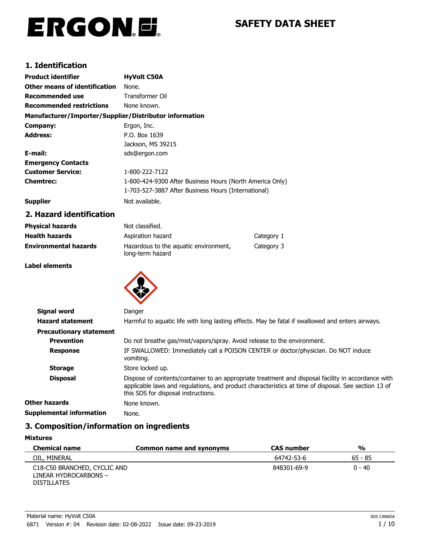# ERGON.E.

## **SAFETY DATA SHEET**

## **1. Identification**

| <b>Product identifier</b>                              | <b>HyVolt C50A</b>                                       |
|--------------------------------------------------------|----------------------------------------------------------|
| Other means of identification                          | None.                                                    |
| Recommended use                                        | Transformer Oil                                          |
| <b>Recommended restrictions</b>                        | None known.                                              |
| Manufacturer/Importer/Supplier/Distributor information |                                                          |
| Company:                                               | Ergon, Inc.                                              |
| <b>Address:</b>                                        | P.O. Box 1639                                            |
|                                                        | Jackson, MS 39215                                        |
| E-mail:                                                | sds@ergon.com                                            |
| <b>Emergency Contacts</b>                              |                                                          |
| <b>Customer Service:</b>                               | 1-800-222-7122                                           |
| <b>Chemtrec:</b>                                       | 1-800-424-9300 After Business Hours (North America Only) |
|                                                        | 1-703-527-3887 After Business Hours (International)      |
| <b>Supplier</b>                                        | Not available.                                           |

## **2. Hazard identification**

| <b>Physical hazards</b>      | Not classified.                                           |            |
|------------------------------|-----------------------------------------------------------|------------|
| <b>Health hazards</b>        | Aspiration hazard                                         | Category 1 |
| <b>Environmental hazards</b> | Hazardous to the aguatic environment,<br>long-term hazard | Category 3 |

## **Label elements**



| Signal word                    | Danger                                                                                                                                                                                                                                           |
|--------------------------------|--------------------------------------------------------------------------------------------------------------------------------------------------------------------------------------------------------------------------------------------------|
| <b>Hazard statement</b>        | Harmful to aquatic life with long lasting effects. May be fatal if swallowed and enters airways.                                                                                                                                                 |
| <b>Precautionary statement</b> |                                                                                                                                                                                                                                                  |
| <b>Prevention</b>              | Do not breathe gas/mist/vapors/spray. Avoid release to the environment.                                                                                                                                                                          |
| <b>Response</b>                | IF SWALLOWED: Immediately call a POISON CENTER or doctor/physician. Do NOT induce<br>vomiting.                                                                                                                                                   |
| <b>Storage</b>                 | Store locked up.                                                                                                                                                                                                                                 |
| <b>Disposal</b>                | Dispose of contents/container to an appropriate treatment and disposal facility in accordance with<br>applicable laws and regulations, and product characteristics at time of disposal. See section 13 of<br>this SDS for disposal instructions. |
| Other hazards                  | None known.                                                                                                                                                                                                                                      |
| Supplemental information       | None.                                                                                                                                                                                                                                            |
|                                |                                                                                                                                                                                                                                                  |

## **3. Composition/information on ingredients**

#### **Mixtures**

| <b>Chemical name</b>                                                        | Common name and synonyms | <b>CAS</b> number | %        |
|-----------------------------------------------------------------------------|--------------------------|-------------------|----------|
| OIL, MINERAL                                                                |                          | 64742-53-6        | 65 - 85  |
| C18-C50 BRANCHED, CYCLIC AND<br>LINEAR HYDROCARBONS -<br><b>DISTILLATES</b> |                          | 848301-69-9       | $0 - 40$ |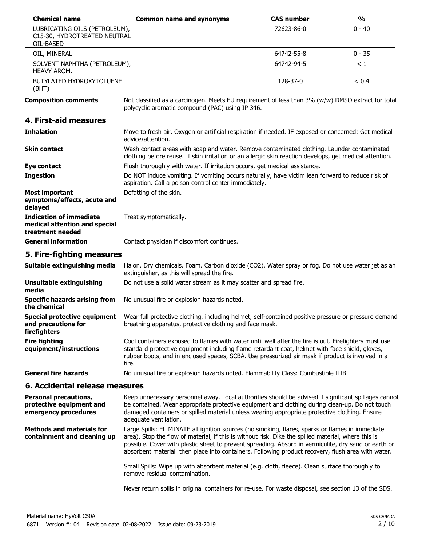| <b>Chemical name</b>                                                                | <b>Common name and synonyms</b>                                                                                                                                                                                                                                                                                                                                                                                     | <b>CAS number</b> | $\frac{1}{2}$ |
|-------------------------------------------------------------------------------------|---------------------------------------------------------------------------------------------------------------------------------------------------------------------------------------------------------------------------------------------------------------------------------------------------------------------------------------------------------------------------------------------------------------------|-------------------|---------------|
| LUBRICATING OILS (PETROLEUM),<br>C15-30, HYDROTREATED NEUTRAL<br>OIL-BASED          |                                                                                                                                                                                                                                                                                                                                                                                                                     | 72623-86-0        | $0 - 40$      |
| OIL, MINERAL                                                                        |                                                                                                                                                                                                                                                                                                                                                                                                                     | 64742-55-8        | $0 - 35$      |
| SOLVENT NAPHTHA (PETROLEUM),<br>HEAVY AROM.                                         |                                                                                                                                                                                                                                                                                                                                                                                                                     | 64742-94-5        | $\leq 1$      |
| <b>BUTYLATED HYDROXYTOLUENE</b><br>(BHT)                                            |                                                                                                                                                                                                                                                                                                                                                                                                                     | 128-37-0          | < 0.4         |
| <b>Composition comments</b>                                                         | Not classified as a carcinogen. Meets EU requirement of less than 3% (w/w) DMSO extract for total<br>polycyclic aromatic compound (PAC) using IP 346.                                                                                                                                                                                                                                                               |                   |               |
| 4. First-aid measures                                                               |                                                                                                                                                                                                                                                                                                                                                                                                                     |                   |               |
| <b>Inhalation</b>                                                                   | Move to fresh air. Oxygen or artificial respiration if needed. IF exposed or concerned: Get medical<br>advice/attention.                                                                                                                                                                                                                                                                                            |                   |               |
| <b>Skin contact</b>                                                                 | Wash contact areas with soap and water. Remove contaminated clothing. Launder contaminated<br>clothing before reuse. If skin irritation or an allergic skin reaction develops, get medical attention.                                                                                                                                                                                                               |                   |               |
| Eye contact                                                                         | Flush thoroughly with water. If irritation occurs, get medical assistance.                                                                                                                                                                                                                                                                                                                                          |                   |               |
| <b>Ingestion</b>                                                                    | Do NOT induce vomiting. If vomiting occurs naturally, have victim lean forward to reduce risk of<br>aspiration. Call a poison control center immediately.                                                                                                                                                                                                                                                           |                   |               |
| <b>Most important</b><br>symptoms/effects, acute and<br>delayed                     | Defatting of the skin.                                                                                                                                                                                                                                                                                                                                                                                              |                   |               |
| <b>Indication of immediate</b><br>medical attention and special<br>treatment needed | Treat symptomatically.                                                                                                                                                                                                                                                                                                                                                                                              |                   |               |
| <b>General information</b>                                                          | Contact physician if discomfort continues.                                                                                                                                                                                                                                                                                                                                                                          |                   |               |
| 5. Fire-fighting measures                                                           |                                                                                                                                                                                                                                                                                                                                                                                                                     |                   |               |
| Suitable extinguishing media                                                        | Halon. Dry chemicals. Foam. Carbon dioxide (CO2). Water spray or fog. Do not use water jet as an<br>extinguisher, as this will spread the fire.                                                                                                                                                                                                                                                                     |                   |               |
| <b>Unsuitable extinguishing</b><br>media                                            | Do not use a solid water stream as it may scatter and spread fire.                                                                                                                                                                                                                                                                                                                                                  |                   |               |
| <b>Specific hazards arising from</b><br>the chemical                                | No unusual fire or explosion hazards noted.                                                                                                                                                                                                                                                                                                                                                                         |                   |               |
| Special protective equipment<br>and precautions for<br>firefighters                 | Wear full protective clothing, including helmet, self-contained positive pressure or pressure demand<br>breathing apparatus, protective clothing and face mask.                                                                                                                                                                                                                                                     |                   |               |
| <b>Fire fighting</b><br>equipment/instructions                                      | Cool containers exposed to flames with water until well after the fire is out. Firefighters must use<br>standard protective equipment including flame retardant coat, helmet with face shield, gloves,<br>rubber boots, and in enclosed spaces, SCBA. Use pressurized air mask if product is involved in a<br>fire.                                                                                                 |                   |               |
| <b>General fire hazards</b>                                                         | No unusual fire or explosion hazards noted. Flammability Class: Combustible IIIB                                                                                                                                                                                                                                                                                                                                    |                   |               |
| 6. Accidental release measures                                                      |                                                                                                                                                                                                                                                                                                                                                                                                                     |                   |               |
| <b>Personal precautions,</b><br>protective equipment and<br>emergency procedures    | Keep unnecessary personnel away. Local authorities should be advised if significant spillages cannot<br>be contained. Wear appropriate protective equipment and clothing during clean-up. Do not touch<br>damaged containers or spilled material unless wearing appropriate protective clothing. Ensure<br>adequate ventilation.                                                                                    |                   |               |
| <b>Methods and materials for</b><br>containment and cleaning up                     | Large Spills: ELIMINATE all ignition sources (no smoking, flares, sparks or flames in immediate<br>area). Stop the flow of material, if this is without risk. Dike the spilled material, where this is<br>possible. Cover with plastic sheet to prevent spreading. Absorb in vermiculite, dry sand or earth or<br>absorbent material then place into containers. Following product recovery, flush area with water. |                   |               |
|                                                                                     | Small Spills: Wipe up with absorbent material (e.g. cloth, fleece). Clean surface thoroughly to<br>remove residual contamination.                                                                                                                                                                                                                                                                                   |                   |               |

Never return spills in original containers for re-use. For waste disposal, see section 13 of the SDS.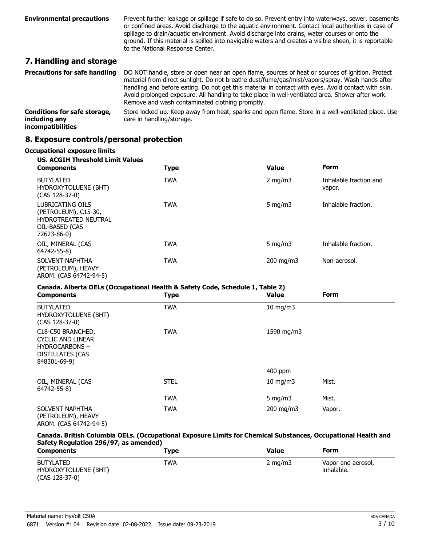Prevent further leakage or spillage if safe to do so. Prevent entry into waterways, sewer, basements or confined areas. Avoid discharge to the aquatic environment. Contact local authorities in case of spillage to drain/aquatic environment. Avoid discharge into drains, water courses or onto the ground. If this material is spilled into navigable waters and creates a visible sheen, it is reportable to the National Response Center. **Environmental precautions**

## **7. Handling and storage**

| <b>Precautions for safe handling</b>                               | DO NOT handle, store or open near an open flame, sources of heat or sources of ignition. Protect<br>material from direct sunlight. Do not breathe dust/fume/gas/mist/vapors/spray. Wash hands after<br>handling and before eating. Do not get this material in contact with eyes. Avoid contact with skin.<br>Avoid prolonged exposure. All handling to take place in well-ventilated area. Shower after work.<br>Remove and wash contaminated clothing promptly. |
|--------------------------------------------------------------------|-------------------------------------------------------------------------------------------------------------------------------------------------------------------------------------------------------------------------------------------------------------------------------------------------------------------------------------------------------------------------------------------------------------------------------------------------------------------|
| Conditions for safe storage,<br>including any<br>incompatibilities | Store locked up. Keep away from heat, sparks and open flame. Store in a well-ventilated place. Use<br>care in handling/storage.                                                                                                                                                                                                                                                                                                                                   |

## **8. Exposure controls/personal protection**

#### **Occupational exposure limits**

| <b>US. ACGIH Threshold Limit Values</b><br>Form<br><b>Value</b><br><b>Type</b><br><b>Components</b>      |            |                    |                                  |
|----------------------------------------------------------------------------------------------------------|------------|--------------------|----------------------------------|
| <b>BUTYLATED</b><br>HYDROXYTOLUENE (BHT)<br>(CAS 128-37-0)                                               | <b>TWA</b> | 2 $mq/m3$          | Inhalable fraction and<br>vapor. |
| LUBRICATING OILS<br>(PETROLEUM), C15-30,<br><b>HYDROTREATED NEUTRAL</b><br>OIL-BASED (CAS<br>72623-86-0) | <b>TWA</b> | 5 mg/m $3$         | Inhalable fraction.              |
| OIL, MINERAL (CAS<br>64742-55-8)                                                                         | <b>TWA</b> | 5 mg/m $3$         | Inhalable fraction.              |
| SOLVENT NAPHTHA<br>(PETROLEUM), HEAVY<br>AROM. (CAS 64742-94-5)                                          | <b>TWA</b> | $200 \text{ mg/m}$ | Non-aerosol.                     |

#### **Canada. Alberta OELs (Occupational Health & Safety Code, Schedule 1, Table 2)**

| <b>Components</b>                                                                                                | <b>Type</b> | <b>Value</b>  | <b>Form</b> |  |
|------------------------------------------------------------------------------------------------------------------|-------------|---------------|-------------|--|
| <b>BUTYLATED</b><br>HYDROXYTOLUENE (BHT)<br>$(CAS 128-37-0)$                                                     | <b>TWA</b>  | $10$ mg/m $3$ |             |  |
| C18-C50 BRANCHED,<br><b>CYCLIC AND LINEAR</b><br><b>HYDROCARBONS-</b><br><b>DISTILLATES (CAS</b><br>848301-69-9) | <b>TWA</b>  | 1590 mg/m3    |             |  |
|                                                                                                                  |             | $400$ ppm     |             |  |
| OIL, MINERAL (CAS<br>64742-55-8)                                                                                 | <b>STEL</b> | $10$ mg/m $3$ | Mist.       |  |
|                                                                                                                  | <b>TWA</b>  | 5 mg/m $3$    | Mist.       |  |
| SOLVENT NAPHTHA<br>(PETROLEUM), HEAVY<br>AROM. (CAS 64742-94-5)                                                  | <b>TWA</b>  | 200 mg/m3     | Vapor.      |  |

#### **Canada. British Columbia OELs. (Occupational Exposure Limits for Chemical Substances, Occupational Health and Safety Regulation 296/97, as amended)**

| <b>Components</b>                                          | Type | Value      | Form                             |
|------------------------------------------------------------|------|------------|----------------------------------|
| <b>BUTYLATED</b><br>HYDROXYTOLUENE (BHT)<br>(CAS 128-37-0) | TWA  | 2 mg/m $3$ | Vapor and aerosol,<br>inhalable. |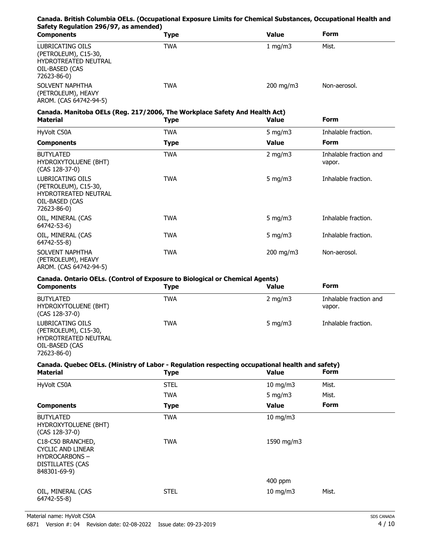## **Canada. British Columbia OELs. (Occupational Exposure Limits for Chemical Substances, Occupational Health and Safety Regulation 296/97, as amended)**

| <b>Components</b>                                                                                        | Type | Value              | <b>Form</b>  |  |
|----------------------------------------------------------------------------------------------------------|------|--------------------|--------------|--|
| LUBRICATING OILS<br>(PETROLEUM), C15-30,<br><b>HYDROTREATED NEUTRAL</b><br>OIL-BASED (CAS<br>72623-86-0) | TWA  | 1 $mq/m3$          | Mist.        |  |
| SOLVENT NAPHTHA<br>(PETROLEUM), HEAVY<br>AROM. (CAS 64742-94-5)                                          | TWA  | $200 \text{ mg/m}$ | Non-aerosol. |  |

## **Canada. Manitoba OELs (Reg. 217/2006, The Workplace Safety And Health Act)**

| <b>Material</b>                                                                                          | Type        | <b>Value</b>       | <b>Form</b>                      |
|----------------------------------------------------------------------------------------------------------|-------------|--------------------|----------------------------------|
| HyVolt C50A                                                                                              | TWA         | 5 mg/m $3$         | Inhalable fraction.              |
| <b>Components</b>                                                                                        | <b>Type</b> | <b>Value</b>       | <b>Form</b>                      |
| <b>BUTYLATED</b><br>HYDROXYTOLUENE (BHT)<br>$(CAS 128-37-0)$                                             | TWA         | 2 mg/m $3$         | Inhalable fraction and<br>vapor. |
| LUBRICATING OILS<br>(PETROLEUM), C15-30,<br><b>HYDROTREATED NEUTRAL</b><br>OIL-BASED (CAS<br>72623-86-0) | TWA         | 5 mg/m $3$         | Inhalable fraction.              |
| OIL, MINERAL (CAS<br>64742-53-6)                                                                         | TWA         | 5 mg/m $3$         | Inhalable fraction.              |
| OIL, MINERAL (CAS<br>64742-55-8)                                                                         | TWA         | 5 mg/m $3$         | Inhalable fraction.              |
| SOLVENT NAPHTHA<br>(PETROLEUM), HEAVY<br>AROM. (CAS 64742-94-5)                                          | <b>TWA</b>  | $200 \text{ mg/m}$ | Non-aerosol.                     |

#### **Canada. Ontario OELs. (Control of Exposure to Biological or Chemical Agents)**

| <b>Components</b>                                                                         | Type | Value            | <b>Form</b>                      |
|-------------------------------------------------------------------------------------------|------|------------------|----------------------------------|
| <b>BUTYLATED</b><br>HYDROXYTOLUENE (BHT)<br>(CAS 128-37-0)                                | TWA  | $2 \text{ mg/m}$ | Inhalable fraction and<br>vapor. |
| LUBRICATING OILS<br>(PETROLEUM), C15-30,<br><b>HYDROTREATED NEUTRAL</b><br>OIL-BASED (CAS | TWA  | 5 $mq/m3$        | Inhalable fraction.              |

72623-86-0)

## **Canada. Quebec OELs. (Ministry of Labor - Regulation respecting occupational health and safety)**

| <b>Material</b>                                                                                                  | <b>Type</b> | <b>Value</b>  | <b>Form</b> |  |
|------------------------------------------------------------------------------------------------------------------|-------------|---------------|-------------|--|
| HyVolt C50A                                                                                                      | <b>STEL</b> | $10$ mg/m $3$ | Mist.       |  |
|                                                                                                                  | <b>TWA</b>  | 5 mg/m $3$    | Mist.       |  |
| <b>Components</b>                                                                                                | <b>Type</b> | <b>Value</b>  | <b>Form</b> |  |
| <b>BUTYLATED</b><br>HYDROXYTOLUENE (BHT)<br>$(CAS 128-37-0)$                                                     | <b>TWA</b>  | $10$ mg/m $3$ |             |  |
| C18-C50 BRANCHED,<br><b>CYCLIC AND LINEAR</b><br><b>HYDROCARBONS-</b><br><b>DISTILLATES (CAS</b><br>848301-69-9) | <b>TWA</b>  | 1590 mg/m3    |             |  |
|                                                                                                                  |             | $400$ ppm     |             |  |
| OIL, MINERAL (CAS<br>64742-55-8)                                                                                 | <b>STEL</b> | $10$ mg/m $3$ | Mist.       |  |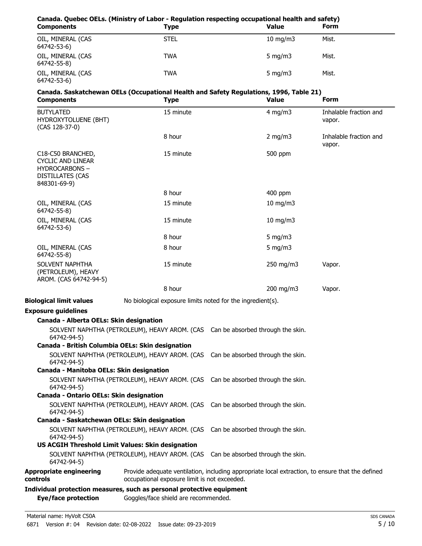## **Canada. Quebec OELs. (Ministry of Labor - Regulation respecting occupational health and safety) Components Type** OIL, MINERAL (CAS STEL STEL 10 mg/m3 Mist. 64742-53-6) OIL, MINERAL (CAS TWA TWA 5 mg/m3 Mist. 64742-55-8) OIL, MINERAL (CAS TWA TWA 5 mg/m3 Mist. 64742-53-6)

# **Canada. Saskatchewan OELs (Occupational Health and Safety Regulations, 1996, Table 21)**

| <b>Components</b>                                                                                                | <b>Type</b>                                                | <b>Value</b>                                                                                     | Form                             |
|------------------------------------------------------------------------------------------------------------------|------------------------------------------------------------|--------------------------------------------------------------------------------------------------|----------------------------------|
| <b>BUTYLATED</b><br>HYDROXYTOLUENE (BHT)<br>(CAS 128-37-0)                                                       | 15 minute                                                  | $4$ mg/m $3$                                                                                     | Inhalable fraction and<br>vapor. |
|                                                                                                                  | 8 hour                                                     | 2 mg/m $3$                                                                                       | Inhalable fraction and<br>vapor. |
| C18-C50 BRANCHED,<br><b>CYCLIC AND LINEAR</b><br><b>HYDROCARBONS-</b><br><b>DISTILLATES (CAS</b><br>848301-69-9) | 15 minute                                                  | 500 ppm                                                                                          |                                  |
|                                                                                                                  | 8 hour                                                     | 400 ppm                                                                                          |                                  |
| OIL, MINERAL (CAS<br>64742-55-8)                                                                                 | 15 minute                                                  | $10$ mg/m $3$                                                                                    |                                  |
| OIL, MINERAL (CAS<br>64742-53-6)                                                                                 | 15 minute                                                  | 10 mg/m3                                                                                         |                                  |
|                                                                                                                  | 8 hour                                                     | 5 mg/m $3$                                                                                       |                                  |
| OIL, MINERAL (CAS<br>64742-55-8)                                                                                 | 8 hour                                                     | 5 mg/m $3$                                                                                       |                                  |
| SOLVENT NAPHTHA<br>(PETROLEUM), HEAVY<br>AROM. (CAS 64742-94-5)                                                  | 15 minute                                                  | 250 mg/m3                                                                                        | Vapor.                           |
|                                                                                                                  | 8 hour                                                     | 200 mg/m3                                                                                        | Vapor.                           |
| <b>Biological limit values</b>                                                                                   | No biological exposure limits noted for the ingredient(s). |                                                                                                  |                                  |
| <b>Exposure guidelines</b>                                                                                       |                                                            |                                                                                                  |                                  |
| Canada - Alberta OELs: Skin designation                                                                          |                                                            |                                                                                                  |                                  |
| 64742-94-5)                                                                                                      |                                                            | SOLVENT NAPHTHA (PETROLEUM), HEAVY AROM. (CAS Can be absorbed through the skin.                  |                                  |
| Canada - British Columbia OELs: Skin designation                                                                 |                                                            |                                                                                                  |                                  |
| 64742-94-5)                                                                                                      |                                                            | SOLVENT NAPHTHA (PETROLEUM), HEAVY AROM. (CAS Can be absorbed through the skin.                  |                                  |
| Canada - Manitoba OELs: Skin designation                                                                         |                                                            |                                                                                                  |                                  |
| 64742-94-5)                                                                                                      |                                                            | SOLVENT NAPHTHA (PETROLEUM), HEAVY AROM. (CAS Can be absorbed through the skin.                  |                                  |
| Canada - Ontario OELs: Skin designation                                                                          |                                                            |                                                                                                  |                                  |
| 64742-94-5)                                                                                                      |                                                            | SOLVENT NAPHTHA (PETROLEUM), HEAVY AROM. (CAS Can be absorbed through the skin.                  |                                  |
| Canada - Saskatchewan OELs: Skin designation                                                                     |                                                            |                                                                                                  |                                  |
| 64742-94-5)                                                                                                      | SOLVENT NAPHTHA (PETROLEUM), HEAVY AROM. (CAS              | Can be absorbed through the skin.                                                                |                                  |
|                                                                                                                  | US ACGIH Threshold Limit Values: Skin designation          |                                                                                                  |                                  |
| 64742-94-5)                                                                                                      | SOLVENT NAPHTHA (PETROLEUM), HEAVY AROM. (CAS              | Can be absorbed through the skin.                                                                |                                  |
| <b>Appropriate engineering</b><br>controls                                                                       | occupational exposure limit is not exceeded.               | Provide adequate ventilation, including appropriate local extraction, to ensure that the defined |                                  |
| Individual protection measures, such as personal protective equipment                                            |                                                            |                                                                                                  |                                  |

**Eye/face protection** Goggles/face shield are recommended.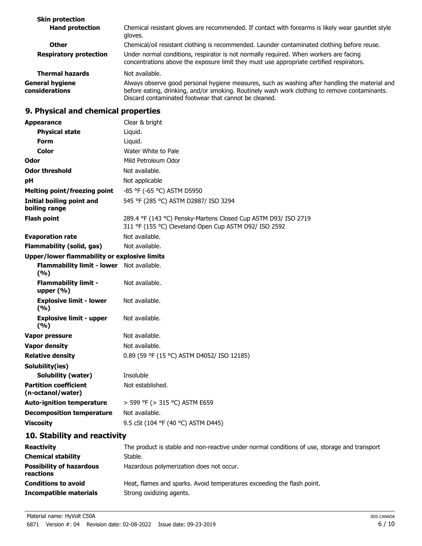| <b>Skin protection</b>                   |                                                                                                                                                                                                                                                          |
|------------------------------------------|----------------------------------------------------------------------------------------------------------------------------------------------------------------------------------------------------------------------------------------------------------|
| <b>Hand protection</b>                   | Chemical resistant gloves are recommended. If contact with forearms is likely wear gauntlet style<br>gloves.                                                                                                                                             |
| <b>Other</b>                             | Chemical/oil resistant clothing is recommended. Launder contaminated clothing before reuse.                                                                                                                                                              |
| <b>Respiratory protection</b>            | Under normal conditions, respirator is not normally required. When workers are facing<br>concentrations above the exposure limit they must use appropriate certified respirators.                                                                        |
| <b>Thermal hazards</b>                   | Not available.                                                                                                                                                                                                                                           |
| <b>General hygiene</b><br>considerations | Always observe good personal hygiene measures, such as washing after handling the material and<br>before eating, drinking, and/or smoking. Routinely wash work clothing to remove contaminants.<br>Discard contaminated footwear that cannot be cleaned. |

## **9. Physical and chemical properties**

| <b>Appearance</b>                                 | Clear & bright                                                                                                          |
|---------------------------------------------------|-------------------------------------------------------------------------------------------------------------------------|
| <b>Physical state</b>                             | Liquid.                                                                                                                 |
| <b>Form</b>                                       | Liquid.                                                                                                                 |
| Color                                             | Water White to Pale                                                                                                     |
| Odor                                              | Mild Petroleum Odor                                                                                                     |
| <b>Odor threshold</b>                             | Not available.                                                                                                          |
| рH                                                | Not applicable                                                                                                          |
| <b>Melting point/freezing point</b>               | -85 °F (-65 °C) ASTM D5950                                                                                              |
| Initial boiling point and<br>boiling range        | 545 °F (285 °C) ASTM D2887/ ISO 3294                                                                                    |
| <b>Flash point</b>                                | 289.4 °F (143 °C) Pensky-Martens Closed Cup ASTM D93/ ISO 2719<br>311 °F (155 °C) Cleveland Open Cup ASTM D92/ ISO 2592 |
| <b>Evaporation rate</b>                           | Not available.                                                                                                          |
| Flammability (solid, gas)                         | Not available.                                                                                                          |
| Upper/lower flammability or explosive limits      |                                                                                                                         |
| Flammability limit - lower Not available.<br>(%)  |                                                                                                                         |
| <b>Flammability limit -</b><br>upper $(% )$       | Not available.                                                                                                          |
| <b>Explosive limit - lower</b><br>(%)             | Not available.                                                                                                          |
| <b>Explosive limit - upper</b><br>(%)             | Not available.                                                                                                          |
| Vapor pressure                                    | Not available.                                                                                                          |
| <b>Vapor density</b>                              | Not available.                                                                                                          |
| <b>Relative density</b>                           | 0.89 (59 °F (15 °C) ASTM D4052/ ISO 12185)                                                                              |
| Solubility(ies)                                   |                                                                                                                         |
| <b>Solubility (water)</b>                         | Insoluble                                                                                                               |
| <b>Partition coefficient</b><br>(n-octanol/water) | Not established.                                                                                                        |
| <b>Auto-ignition temperature</b>                  | > 599 °F (> 315 °C) ASTM E659                                                                                           |
| <b>Decomposition temperature</b>                  | Not available.                                                                                                          |
| <b>Viscosity</b>                                  | 9.5 cSt (104 °F (40 °C) ASTM D445)                                                                                      |
| 10. Stability and reactivity                      |                                                                                                                         |
| <b>Reactivity</b>                                 | The product is stable and non-reactive under normal conditions of use, storage and transport                            |
| <b>Chemical stability</b>                         | Stable.                                                                                                                 |
| <b>Possibility of hazardous</b><br>reactions      | Hazardous polymerization does not occur.                                                                                |

| <b>Conditions to avoid</b> | Heat, flames and sparks. Avoid temperatures exceeding the flash point. |
|----------------------------|------------------------------------------------------------------------|
| Incompatible materials     | Strong oxidizing agents.                                               |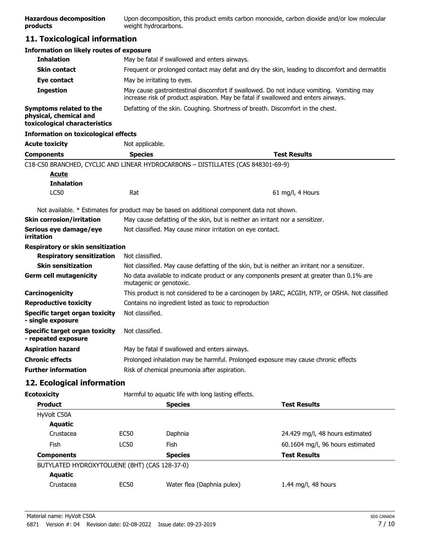| <b>Hazardous decomposition</b> | Upon decomposition, this product emits carbon monoxide, carbon dioxide and/or low molecular |
|--------------------------------|---------------------------------------------------------------------------------------------|
| products                       | weight hydrocarbons.                                                                        |

## **11. Toxicological information**

| <b>Information on likely routes of exposure</b>                                    |                                                                                                                                                                                |
|------------------------------------------------------------------------------------|--------------------------------------------------------------------------------------------------------------------------------------------------------------------------------|
| <b>Inhalation</b>                                                                  | May be fatal if swallowed and enters airways.                                                                                                                                  |
| <b>Skin contact</b>                                                                | Frequent or prolonged contact may defat and dry the skin, leading to discomfort and dermatitis                                                                                 |
| Eye contact                                                                        | May be irritating to eyes.                                                                                                                                                     |
| <b>Ingestion</b>                                                                   | May cause gastrointestinal discomfort if swallowed. Do not induce vomiting. Vomiting may<br>increase risk of product aspiration. May be fatal if swallowed and enters airways. |
| Symptoms related to the<br>physical, chemical and<br>toxicological characteristics | Defatting of the skin. Coughing. Shortness of breath. Discomfort in the chest.                                                                                                 |
| <b>Information on toxicological effects</b>                                        |                                                                                                                                                                                |

| <b>Acute toxicity</b>                                 | Not applicable.                                                                               |                                                                                                |  |
|-------------------------------------------------------|-----------------------------------------------------------------------------------------------|------------------------------------------------------------------------------------------------|--|
| <b>Components</b>                                     | <b>Species</b>                                                                                | <b>Test Results</b>                                                                            |  |
|                                                       |                                                                                               | C18-C50 BRANCHED, CYCLIC AND LINEAR HYDROCARBONS - DISTILLATES (CAS 848301-69-9)               |  |
| <b>Acute</b>                                          |                                                                                               |                                                                                                |  |
| <b>Inhalation</b>                                     |                                                                                               |                                                                                                |  |
| <b>LC50</b>                                           | Rat                                                                                           | 61 mg/l, 4 Hours                                                                               |  |
|                                                       |                                                                                               | Not available. * Estimates for product may be based on additional component data not shown.    |  |
| <b>Skin corrosion/irritation</b>                      |                                                                                               | May cause defatting of the skin, but is neither an irritant nor a sensitizer.                  |  |
| Serious eye damage/eye<br>irritation                  | Not classified. May cause minor irritation on eye contact.                                    |                                                                                                |  |
| Respiratory or skin sensitization                     |                                                                                               |                                                                                                |  |
| <b>Respiratory sensitization</b>                      | Not classified.                                                                               |                                                                                                |  |
| <b>Skin sensitization</b>                             | Not classified. May cause defatting of the skin, but is neither an irritant nor a sensitizer. |                                                                                                |  |
| <b>Germ cell mutagenicity</b>                         | mutagenic or genotoxic.                                                                       | No data available to indicate product or any components present at greater than 0.1% are       |  |
| <b>Carcinogenicity</b>                                |                                                                                               | This product is not considered to be a carcinogen by IARC, ACGIH, NTP, or OSHA. Not classified |  |
| <b>Reproductive toxicity</b>                          |                                                                                               | Contains no ingredient listed as toxic to reproduction                                         |  |
| Specific target organ toxicity<br>- single exposure   | Not classified.                                                                               |                                                                                                |  |
| Specific target organ toxicity<br>- repeated exposure | Not classified.                                                                               |                                                                                                |  |
| <b>Aspiration hazard</b>                              | May be fatal if swallowed and enters airways.                                                 |                                                                                                |  |
| <b>Chronic effects</b>                                |                                                                                               | Prolonged inhalation may be harmful. Prolonged exposure may cause chronic effects              |  |
| <b>Further information</b>                            | Risk of chemical pneumonia after aspiration.                                                  |                                                                                                |  |

## **12. Ecological information**

| <b>Ecotoxicity</b>                            |                                       |                            |                                  |
|-----------------------------------------------|---------------------------------------|----------------------------|----------------------------------|
| <b>Product</b>                                |                                       | <b>Species</b>             | <b>Test Results</b>              |
| HyVolt C50A                                   |                                       |                            |                                  |
| Aquatic                                       |                                       |                            |                                  |
| Crustacea                                     | EC50                                  | Daphnia                    | 24.429 mg/l, 48 hours estimated  |
| Fish                                          | LC50                                  | Fish                       | 60.1604 mg/l, 96 hours estimated |
| <b>Components</b>                             | <b>Species</b><br><b>Test Results</b> |                            |                                  |
| BUTYLATED HYDROXYTOLUENE (BHT) (CAS 128-37-0) |                                       |                            |                                  |
| Aquatic                                       |                                       |                            |                                  |
| Crustacea                                     | <b>EC50</b>                           | Water flea (Daphnia pulex) | 1.44 mg/l, 48 hours              |
|                                               |                                       |                            |                                  |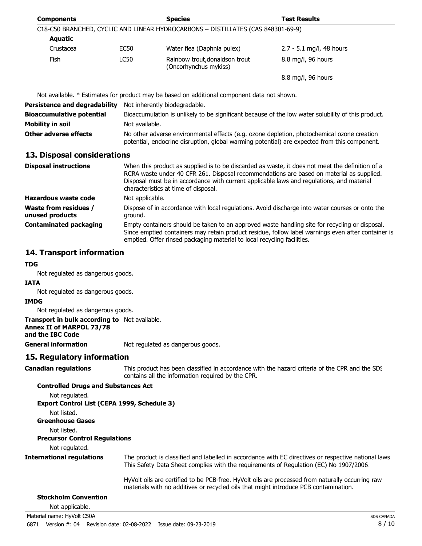| <b>Components</b>                               |                                                                                                                                                                                                                                                                                                                                  | <b>Species</b>                                                                              | <b>Test Results</b>                                                                                                                                                                                  |
|-------------------------------------------------|----------------------------------------------------------------------------------------------------------------------------------------------------------------------------------------------------------------------------------------------------------------------------------------------------------------------------------|---------------------------------------------------------------------------------------------|------------------------------------------------------------------------------------------------------------------------------------------------------------------------------------------------------|
|                                                 |                                                                                                                                                                                                                                                                                                                                  | C18-C50 BRANCHED, CYCLIC AND LINEAR HYDROCARBONS - DISTILLATES (CAS 848301-69-9)            |                                                                                                                                                                                                      |
| Aquatic                                         |                                                                                                                                                                                                                                                                                                                                  |                                                                                             |                                                                                                                                                                                                      |
| Crustacea                                       | <b>EC50</b>                                                                                                                                                                                                                                                                                                                      | Water flea (Daphnia pulex)                                                                  | 2.7 - 5.1 mg/l, 48 hours                                                                                                                                                                             |
| <b>Fish</b>                                     | <b>LC50</b>                                                                                                                                                                                                                                                                                                                      | Rainbow trout, donaldson trout<br>(Oncorhynchus mykiss)                                     | 8.8 mg/l, 96 hours                                                                                                                                                                                   |
|                                                 |                                                                                                                                                                                                                                                                                                                                  |                                                                                             | 8.8 mg/l, 96 hours                                                                                                                                                                                   |
|                                                 |                                                                                                                                                                                                                                                                                                                                  | Not available. * Estimates for product may be based on additional component data not shown. |                                                                                                                                                                                                      |
| <b>Persistence and degradability</b>            | Not inherently biodegradable.                                                                                                                                                                                                                                                                                                    |                                                                                             |                                                                                                                                                                                                      |
| <b>Bioaccumulative potential</b>                | Bioaccumulation is unlikely to be significant because of the low water solubility of this product.                                                                                                                                                                                                                               |                                                                                             |                                                                                                                                                                                                      |
| <b>Mobility in soil</b>                         | Not available.                                                                                                                                                                                                                                                                                                                   |                                                                                             |                                                                                                                                                                                                      |
| Other adverse effects                           | No other adverse environmental effects (e.g. ozone depletion, photochemical ozone creation<br>potential, endocrine disruption, global warming potential) are expected from this component.                                                                                                                                       |                                                                                             |                                                                                                                                                                                                      |
| 13. Disposal considerations                     |                                                                                                                                                                                                                                                                                                                                  |                                                                                             |                                                                                                                                                                                                      |
| <b>Disposal instructions</b>                    | When this product as supplied is to be discarded as waste, it does not meet the definition of a<br>RCRA waste under 40 CFR 261. Disposal recommendations are based on material as supplied.<br>Disposal must be in accordance with current applicable laws and regulations, and material<br>characteristics at time of disposal. |                                                                                             |                                                                                                                                                                                                      |
| Hazardous waste code                            | Not applicable.                                                                                                                                                                                                                                                                                                                  |                                                                                             |                                                                                                                                                                                                      |
| <b>Waste from residues /</b><br>unused products | Dispose of in accordance with local regulations. Avoid discharge into water courses or onto the<br>ground.                                                                                                                                                                                                                       |                                                                                             |                                                                                                                                                                                                      |
| <b>Contaminated packaging</b>                   |                                                                                                                                                                                                                                                                                                                                  | emptied. Offer rinsed packaging material to local recycling facilities.                     | Empty containers should be taken to an approved waste handling site for recycling or disposal.<br>Since emptied containers may retain product residue, follow label warnings even after container is |

## **14. Transport information**

#### **TDG**

Not regulated as dangerous goods.

#### **IATA**

Not regulated as dangerous goods.

#### **IMDG**

Not regulated as dangerous goods.

#### **Transport in bulk according to** Not available.

**Annex II of MARPOL 73/78**

## **and the IBC Code**

**General information** Not regulated as dangerous goods.

## **15. Regulatory information**

This product has been classified in accordance with the hazard criteria of the CPR and the SDS contains all the information required by the CPR. **Canadian regulations**

## **Controlled Drugs and Substances Act** Not regulated.

**Export Control List (CEPA 1999, Schedule 3)** Not listed. **Greenhouse Gases**

#### Not listed. **Precursor Control Regulations**

Not regulated.

#### The product is classified and labelled in accordance with EC directives or respective national laws. This Safety Data Sheet complies with the requirements of Regulation (EC) No 1907/2006. **International regulations**

HyVolt oils are certified to be PCB-free. HyVolt oils are processed from naturally occurring raw materials with no additives or recycled oils that might introduce PCB contamination.

#### **Stockholm Convention**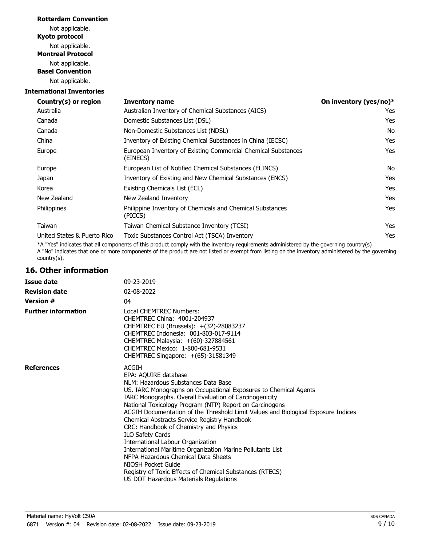## **Rotterdam Convention**

Not applicable. **Kyoto protocol** Not applicable. **Montreal Protocol** Not applicable. **Basel Convention** Not applicable.

## **International Inventories**

| Country(s) or region        | <b>Inventory name</b>                                                     | On inventory (yes/no)* |
|-----------------------------|---------------------------------------------------------------------------|------------------------|
| Australia                   | Australian Inventory of Chemical Substances (AICS)                        | Yes                    |
| Canada                      | Domestic Substances List (DSL)                                            | Yes                    |
| Canada                      | Non-Domestic Substances List (NDSL)                                       | No                     |
| China                       | Inventory of Existing Chemical Substances in China (IECSC)                | Yes                    |
| Europe                      | European Inventory of Existing Commercial Chemical Substances<br>(EINECS) | Yes                    |
| Europe                      | European List of Notified Chemical Substances (ELINCS)                    | No                     |
| Japan                       | Inventory of Existing and New Chemical Substances (ENCS)                  | Yes                    |
| Korea                       | Existing Chemicals List (ECL)                                             | Yes                    |
| New Zealand                 | New Zealand Inventory                                                     | Yes                    |
| Philippines                 | Philippine Inventory of Chemicals and Chemical Substances<br>(PICCS)      | Yes                    |
| Taiwan                      | Taiwan Chemical Substance Inventory (TCSI)                                | Yes                    |
| United States & Puerto Rico | Toxic Substances Control Act (TSCA) Inventory                             | Yes                    |
|                             |                                                                           |                        |

\*A "Yes" indicates that all components of this product comply with the inventory requirements administered by the governing country(s) A "No" indicates that one or more components of the product are not listed or exempt from listing on the inventory administered by the governing country(s).

## **16. Other information**

| <b>Issue date</b>          | 09-23-2019                                                                                                                                                                                                                                                                                                                                                                                                                                                                                                                                                                                                                                                                                                                                    |
|----------------------------|-----------------------------------------------------------------------------------------------------------------------------------------------------------------------------------------------------------------------------------------------------------------------------------------------------------------------------------------------------------------------------------------------------------------------------------------------------------------------------------------------------------------------------------------------------------------------------------------------------------------------------------------------------------------------------------------------------------------------------------------------|
| <b>Revision date</b>       | 02-08-2022                                                                                                                                                                                                                                                                                                                                                                                                                                                                                                                                                                                                                                                                                                                                    |
| <b>Version #</b>           | 04                                                                                                                                                                                                                                                                                                                                                                                                                                                                                                                                                                                                                                                                                                                                            |
| <b>Further information</b> | Local CHEMTREC Numbers:<br>CHEMTREC China: 4001-204937<br>CHEMTREC EU (Brussels): +(32)-28083237<br>CHEMTREC Indonesia: 001-803-017-9114<br>CHEMTREC Malaysia: +(60)-327884561<br>CHEMTREC Mexico: 1-800-681-9531<br>CHEMTREC Singapore: +(65)-31581349                                                                                                                                                                                                                                                                                                                                                                                                                                                                                       |
| <b>References</b>          | <b>ACGIH</b><br>EPA: AQUIRE database<br>NLM: Hazardous Substances Data Base<br>US. IARC Monographs on Occupational Exposures to Chemical Agents<br>IARC Monographs. Overall Evaluation of Carcinogenicity<br>National Toxicology Program (NTP) Report on Carcinogens<br>ACGIH Documentation of the Threshold Limit Values and Biological Exposure Indices<br>Chemical Abstracts Service Registry Handbook<br>CRC: Handbook of Chemistry and Physics<br>ILO Safety Cards<br>International Labour Organization<br>International Maritime Organization Marine Pollutants List<br>NFPA Hazardous Chemical Data Sheets<br>NIOSH Pocket Guide<br>Registry of Toxic Effects of Chemical Substances (RTECS)<br>US DOT Hazardous Materials Regulations |